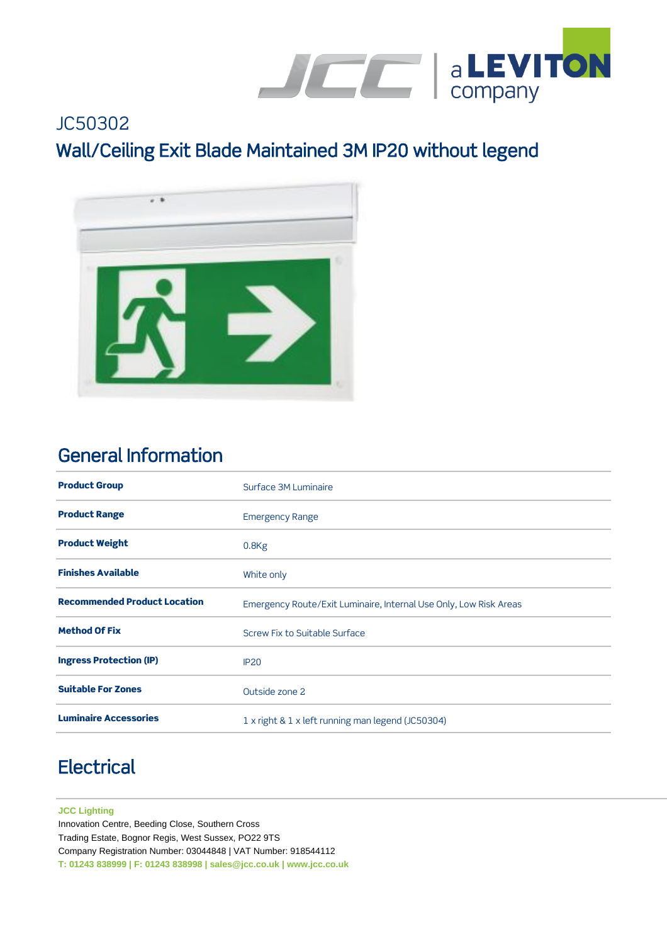

# JC50302 Wall/Ceiling Exit Blade Maintained 3M IP20 without legend



### General Information

| <b>Product Group</b>                | Surface 3M Luminaire                                              |
|-------------------------------------|-------------------------------------------------------------------|
| <b>Product Range</b>                | <b>Emergency Range</b>                                            |
| <b>Product Weight</b>               | 0.8 <sub>Kg</sub>                                                 |
| <b>Finishes Available</b>           | White only                                                        |
| <b>Recommended Product Location</b> | Emergency Route/Exit Luminaire, Internal Use Only, Low Risk Areas |
| <b>Method Of Fix</b>                | Screw Fix to Suitable Surface                                     |
| <b>Ingress Protection (IP)</b>      | <b>IP20</b>                                                       |
| <b>Suitable For Zones</b>           | Outside zone 2                                                    |
| <b>Luminaire Accessories</b>        | 1 x right & 1 x left running man legend (JC50304)                 |

# **Electrical**

#### **JCC Lighting**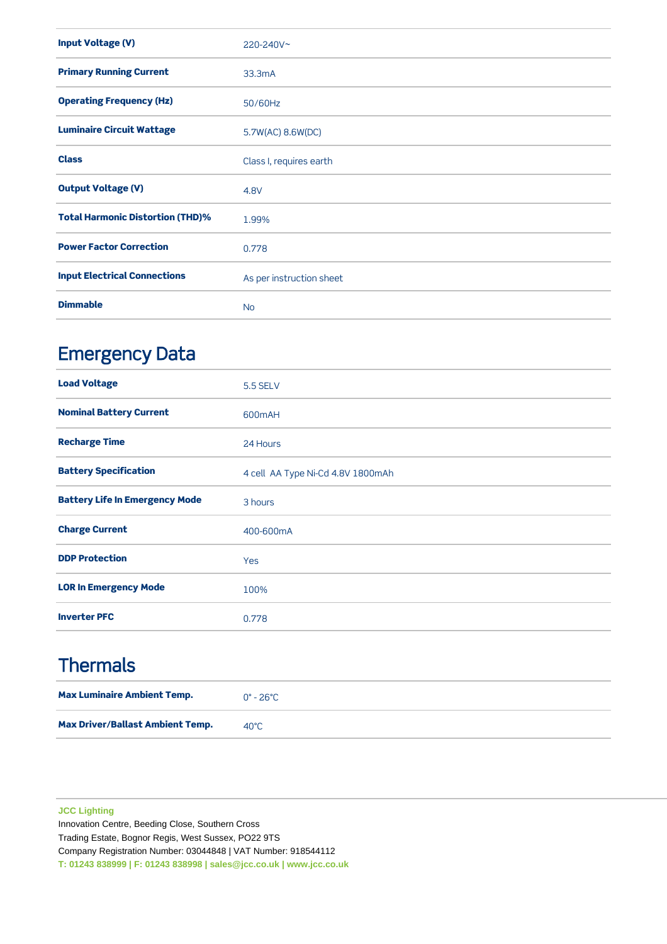| <b>Input Voltage (V)</b>                | 220-240V~                |
|-----------------------------------------|--------------------------|
| <b>Primary Running Current</b>          | 33.3mA                   |
| <b>Operating Frequency (Hz)</b>         | 50/60Hz                  |
| <b>Luminaire Circuit Wattage</b>        | 5.7W(AC) 8.6W(DC)        |
| <b>Class</b>                            | Class I, requires earth  |
| <b>Output Voltage (V)</b>               | 4.8V                     |
| <b>Total Harmonic Distortion (THD)%</b> | 1.99%                    |
| <b>Power Factor Correction</b>          | 0.778                    |
| <b>Input Electrical Connections</b>     | As per instruction sheet |
| <b>Dimmable</b>                         | <b>No</b>                |

# Emergency Data

| <b>Load Voltage</b>                   | <b>5.5 SELV</b>                   |
|---------------------------------------|-----------------------------------|
| <b>Nominal Battery Current</b>        | 600mAH                            |
| <b>Recharge Time</b>                  | 24 Hours                          |
| <b>Battery Specification</b>          | 4 cell AA Type Ni-Cd 4.8V 1800mAh |
| <b>Battery Life In Emergency Mode</b> | 3 hours                           |
| <b>Charge Current</b>                 | 400-600mA                         |
| <b>DDP Protection</b>                 | Yes                               |
| <b>LOR In Emergency Mode</b>          | 100%                              |
| <b>Inverter PFC</b>                   | 0.778                             |

### **Thermals**

| <b>Max Luminaire Ambient Temp.</b>      | $0^{\circ}$ - 26°C |
|-----------------------------------------|--------------------|
| <b>Max Driver/Ballast Ambient Temp.</b> | 40°C.              |

#### **JCC Lighting**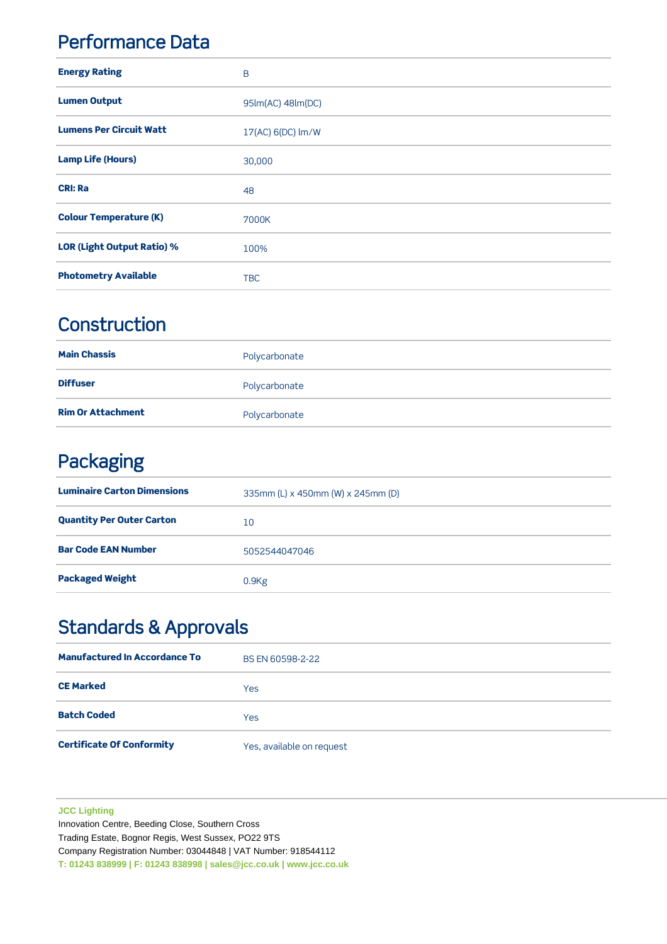### Performance Data

| <b>Energy Rating</b>              | B                                 |
|-----------------------------------|-----------------------------------|
| <b>Lumen Output</b>               | 95lm(AC) 48lm(DC)                 |
| <b>Lumens Per Circuit Watt</b>    | 17(AC) 6(DC) $\text{Im}/\text{W}$ |
| <b>Lamp Life (Hours)</b>          | 30,000                            |
| <b>CRI: Ra</b>                    | 48                                |
| <b>Colour Temperature (K)</b>     | 7000K                             |
| <b>LOR (Light Output Ratio) %</b> | 100%                              |
| <b>Photometry Available</b>       | <b>TBC</b>                        |

### **Construction**

| <b>Main Chassis</b>      | Polycarbonate |
|--------------------------|---------------|
| <b>Diffuser</b>          | Polycarbonate |
| <b>Rim Or Attachment</b> | Polycarbonate |

## Packaging

| <b>Luminaire Carton Dimensions</b> | 335mm (L) x 450mm (W) x 245mm (D) |
|------------------------------------|-----------------------------------|
| <b>Quantity Per Outer Carton</b>   | 10                                |
| <b>Bar Code EAN Number</b>         | 5052544047046                     |
| <b>Packaged Weight</b>             | 0.9Kg                             |

## Standards & Approvals

| <b>Manufactured In Accordance To</b> | BS EN 60598-2-22          |
|--------------------------------------|---------------------------|
| <b>CE Marked</b>                     | <b>Yes</b>                |
| <b>Batch Coded</b>                   | <b>Yes</b>                |
| <b>Certificate Of Conformity</b>     | Yes, available on request |

#### **JCC Lighting**